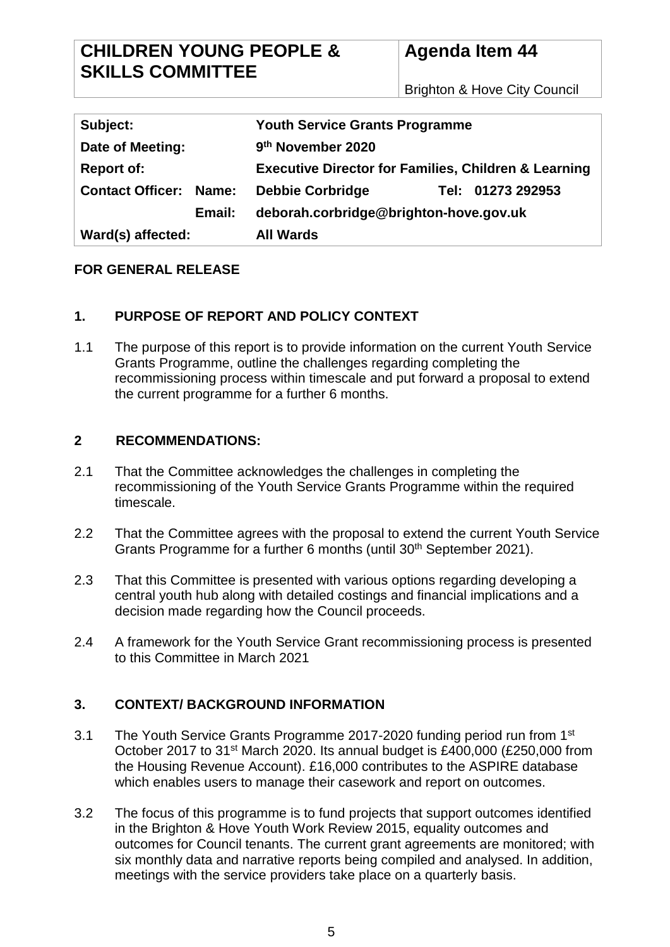# **Agenda Item 44**

Brighton & Hove City Council

| Subject:                      | <b>Youth Service Grants Programme</b>                           |
|-------------------------------|-----------------------------------------------------------------|
| Date of Meeting:              | 9th November 2020                                               |
| <b>Report of:</b>             | <b>Executive Director for Families, Children &amp; Learning</b> |
| <b>Contact Officer: Name:</b> | <b>Debbie Corbridge</b><br>Tel: 01273 292953                    |
| Email:                        | deborah.corbridge@brighton-hove.gov.uk                          |
| Ward(s) affected:             | <b>All Wards</b>                                                |

## **FOR GENERAL RELEASE**

## **1. PURPOSE OF REPORT AND POLICY CONTEXT**

1.1 The purpose of this report is to provide information on the current Youth Service Grants Programme, outline the challenges regarding completing the recommissioning process within timescale and put forward a proposal to extend the current programme for a further 6 months.

#### **2 RECOMMENDATIONS:**

- 2.1 That the Committee acknowledges the challenges in completing the recommissioning of the Youth Service Grants Programme within the required timescale.
- 2.2 That the Committee agrees with the proposal to extend the current Youth Service Grants Programme for a further 6 months (until 30<sup>th</sup> September 2021).
- 2.3 That this Committee is presented with various options regarding developing a central youth hub along with detailed costings and financial implications and a decision made regarding how the Council proceeds.
- 2.4 A framework for the Youth Service Grant recommissioning process is presented to this Committee in March 2021

## **3. CONTEXT/ BACKGROUND INFORMATION**

- 3.1 The Youth Service Grants Programme 2017-2020 funding period run from 1<sup>st</sup> October 2017 to 31st March 2020. Its annual budget is £400,000 (£250,000 from the Housing Revenue Account). £16,000 contributes to the ASPIRE database which enables users to manage their casework and report on outcomes.
- 3.2 The focus of this programme is to fund projects that support outcomes identified in the Brighton & Hove Youth Work Review 2015, equality outcomes and outcomes for Council tenants. The current grant agreements are monitored; with six monthly data and narrative reports being compiled and analysed. In addition, meetings with the service providers take place on a quarterly basis.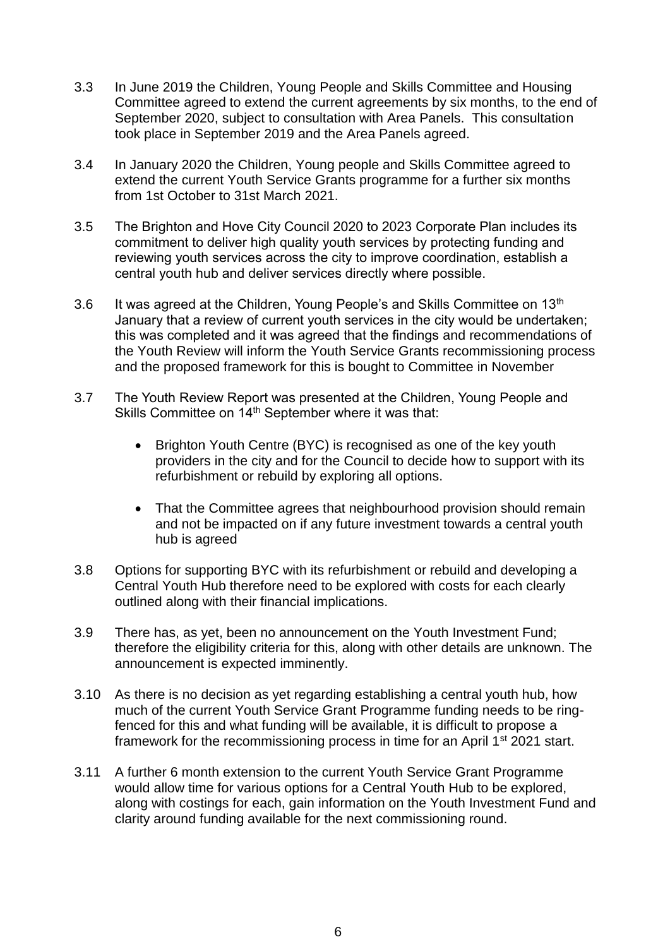- 3.3 In June 2019 the Children, Young People and Skills Committee and Housing Committee agreed to extend the current agreements by six months, to the end of September 2020, subject to consultation with Area Panels. This consultation took place in September 2019 and the Area Panels agreed.
- 3.4 In January 2020 the Children, Young people and Skills Committee agreed to extend the current Youth Service Grants programme for a further six months from 1st October to 31st March 2021.
- 3.5 The Brighton and Hove City Council 2020 to 2023 Corporate Plan includes its commitment to deliver high quality youth services by protecting funding and reviewing youth services across the city to improve coordination, establish a central youth hub and deliver services directly where possible.
- 3.6 It was agreed at the Children, Young People's and Skills Committee on 13<sup>th</sup> January that a review of current youth services in the city would be undertaken; this was completed and it was agreed that the findings and recommendations of the Youth Review will inform the Youth Service Grants recommissioning process and the proposed framework for this is bought to Committee in November
- 3.7 The Youth Review Report was presented at the Children, Young People and Skills Committee on 14th September where it was that:
	- Brighton Youth Centre (BYC) is recognised as one of the key youth providers in the city and for the Council to decide how to support with its refurbishment or rebuild by exploring all options.
	- That the Committee agrees that neighbourhood provision should remain and not be impacted on if any future investment towards a central youth hub is agreed
- 3.8 Options for supporting BYC with its refurbishment or rebuild and developing a Central Youth Hub therefore need to be explored with costs for each clearly outlined along with their financial implications.
- 3.9 There has, as yet, been no announcement on the Youth Investment Fund; therefore the eligibility criteria for this, along with other details are unknown. The announcement is expected imminently.
- 3.10 As there is no decision as yet regarding establishing a central youth hub, how much of the current Youth Service Grant Programme funding needs to be ringfenced for this and what funding will be available, it is difficult to propose a framework for the recommissioning process in time for an April 1<sup>st</sup> 2021 start.
- 3.11 A further 6 month extension to the current Youth Service Grant Programme would allow time for various options for a Central Youth Hub to be explored, along with costings for each, gain information on the Youth Investment Fund and clarity around funding available for the next commissioning round.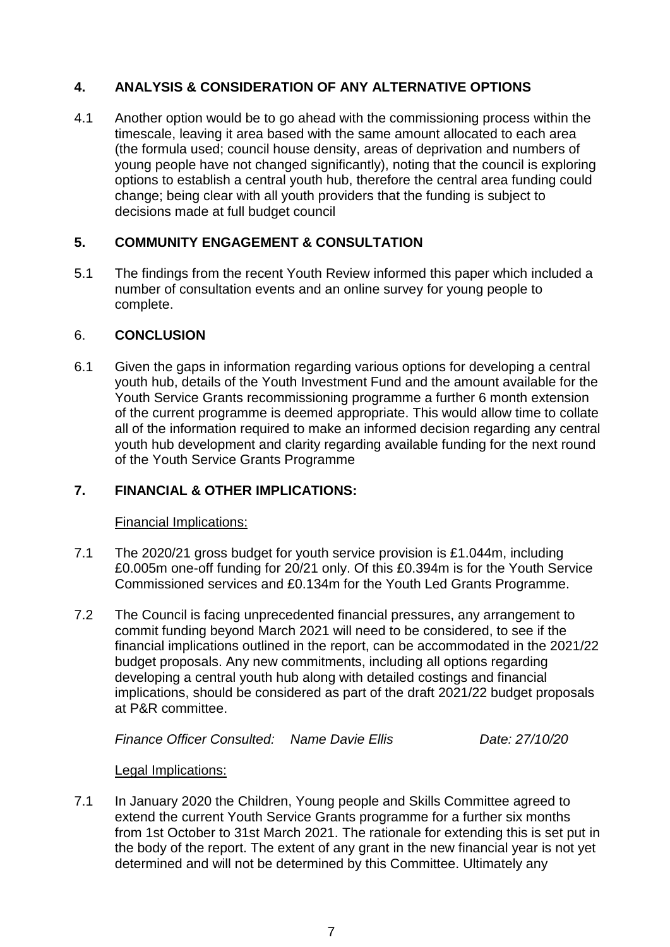## **4. ANALYSIS & CONSIDERATION OF ANY ALTERNATIVE OPTIONS**

4.1 Another option would be to go ahead with the commissioning process within the timescale, leaving it area based with the same amount allocated to each area (the formula used; council house density, areas of deprivation and numbers of young people have not changed significantly), noting that the council is exploring options to establish a central youth hub, therefore the central area funding could change; being clear with all youth providers that the funding is subject to decisions made at full budget council

## **5. COMMUNITY ENGAGEMENT & CONSULTATION**

5.1 The findings from the recent Youth Review informed this paper which included a number of consultation events and an online survey for young people to complete.

## 6. **CONCLUSION**

6.1 Given the gaps in information regarding various options for developing a central youth hub, details of the Youth Investment Fund and the amount available for the Youth Service Grants recommissioning programme a further 6 month extension of the current programme is deemed appropriate. This would allow time to collate all of the information required to make an informed decision regarding any central youth hub development and clarity regarding available funding for the next round of the Youth Service Grants Programme

## **7. FINANCIAL & OTHER IMPLICATIONS:**

Financial Implications:

- 7.1 The 2020/21 gross budget for youth service provision is £1.044m, including £0.005m one-off funding for 20/21 only. Of this £0.394m is for the Youth Service Commissioned services and £0.134m for the Youth Led Grants Programme.
- 7.2 The Council is facing unprecedented financial pressures, any arrangement to commit funding beyond March 2021 will need to be considered, to see if the financial implications outlined in the report, can be accommodated in the 2021/22 budget proposals. Any new commitments, including all options regarding developing a central youth hub along with detailed costings and financial implications, should be considered as part of the draft 2021/22 budget proposals at P&R committee.

*Finance Officer Consulted: Name Davie Ellis Date: 27/10/20*

## Legal Implications:

7.1 In January 2020 the Children, Young people and Skills Committee agreed to extend the current Youth Service Grants programme for a further six months from 1st October to 31st March 2021. The rationale for extending this is set put in the body of the report. The extent of any grant in the new financial year is not yet determined and will not be determined by this Committee. Ultimately any